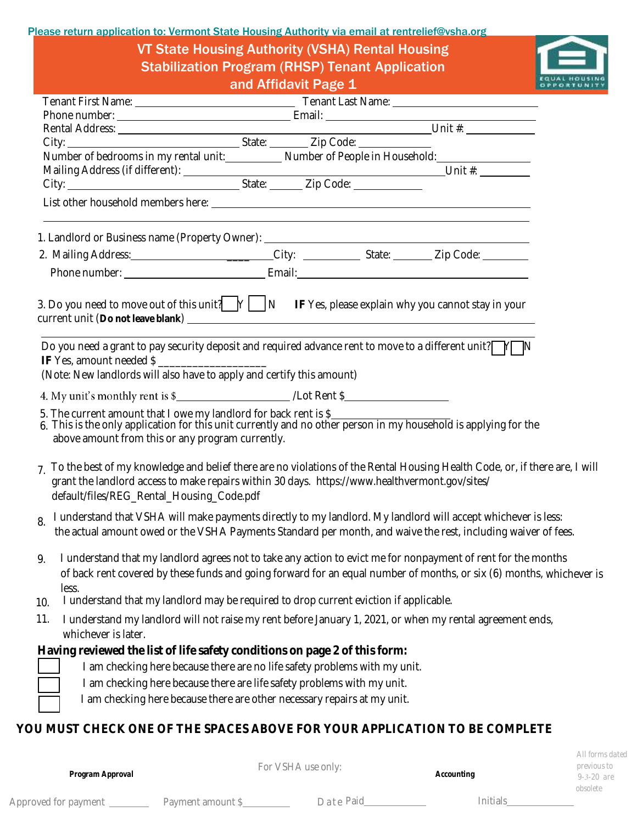Please return application to: Vermont State Housing Authority via email [at rentrelief@vsha.org](mailto:rentrelief@vsha.org)

VT State Housing Authority (VSHA) Rental Housing Stabilization Program (RHSP) Tenant Application and Affidavit Page 1



|                                                                                                                      | $\frac{1}{2}$                                                                                                                                                                                                                  |                                                                                                                            |
|----------------------------------------------------------------------------------------------------------------------|--------------------------------------------------------------------------------------------------------------------------------------------------------------------------------------------------------------------------------|----------------------------------------------------------------------------------------------------------------------------|
|                                                                                                                      |                                                                                                                                                                                                                                |                                                                                                                            |
|                                                                                                                      |                                                                                                                                                                                                                                |                                                                                                                            |
|                                                                                                                      |                                                                                                                                                                                                                                |                                                                                                                            |
|                                                                                                                      |                                                                                                                                                                                                                                |                                                                                                                            |
|                                                                                                                      | Number of bedrooms in my rental unit: Number of People in Household: Number of People in Household:                                                                                                                            |                                                                                                                            |
|                                                                                                                      |                                                                                                                                                                                                                                |                                                                                                                            |
|                                                                                                                      |                                                                                                                                                                                                                                |                                                                                                                            |
|                                                                                                                      | 1. Landlord or Business name (Property Owner): _________________________________                                                                                                                                               |                                                                                                                            |
|                                                                                                                      | 2. Mailing Address: 11. The City: 2. Mailing Address: 12. Mailing Address: 12. Mailing Address: 12. Mailing A                                                                                                                  |                                                                                                                            |
|                                                                                                                      |                                                                                                                                                                                                                                |                                                                                                                            |
|                                                                                                                      | 3. Do you need to move out of this unit? $\bigcup Y$ $\bigcup N$ IF Yes, please explain why you cannot stay in your                                                                                                            |                                                                                                                            |
| IF Yes, amount needed \$                                                                                             | Do you need a grant to pay security deposit and required advance rent to move to a different unit? $\Box Y$                                                                                                                    |                                                                                                                            |
| (Note: New landlords will also have to apply and certify this amount)                                                |                                                                                                                                                                                                                                |                                                                                                                            |
|                                                                                                                      |                                                                                                                                                                                                                                |                                                                                                                            |
| 5. The current amount that I owe my landlord for back rent is \$<br>above amount from this or any program currently. | 6. This is the only application for this unit currently and no other person in my household is applying for the                                                                                                                |                                                                                                                            |
| default/files/REG_Rental_Housing_Code.pdf                                                                            | grant the landlord access to make repairs within 30 days. https://www.healthvermont.gov/sites/                                                                                                                                 | To the best of my knowledge and belief there are no violations of the Rental Housing Health Code, or, if there are, I will |
| 8.                                                                                                                   | I understand that VSHA will make payments directly to my landlord. My landlord will accept whichever is less:<br>the actual amount owed or the VSHA Payments Standard per month, and waive the rest, including waiver of fees. |                                                                                                                            |
| 9.<br>less.                                                                                                          | I understand that my landlord agrees not to take any action to evict me for nonpayment of rent for the months                                                                                                                  | of back rent covered by these funds and going forward for an equal number of months, or six (6) months, whichever is       |
| 10.                                                                                                                  | I understand that my landlord may be required to drop current eviction if applicable.                                                                                                                                          |                                                                                                                            |
| 11.<br>whichever is later.                                                                                           | I understand my landlord will not raise my rent before January 1, 2021, or when my rental agreement ends,                                                                                                                      |                                                                                                                            |
|                                                                                                                      | Having reviewed the list of life safety conditions on page 2 of this form:                                                                                                                                                     |                                                                                                                            |
|                                                                                                                      | I am checking here because there are no life safety problems with my unit.                                                                                                                                                     |                                                                                                                            |
|                                                                                                                      | I am checking here because there are life safety problems with my unit.                                                                                                                                                        |                                                                                                                            |
|                                                                                                                      | I am checking here because there are other necessary repairs at my unit.                                                                                                                                                       |                                                                                                                            |
|                                                                                                                      |                                                                                                                                                                                                                                |                                                                                                                            |
|                                                                                                                      | YOU MUST CHECK ONE OF THE SPACES ABOVE FOR YOUR APPLICATION TO BE COMPLETE                                                                                                                                                     |                                                                                                                            |
|                                                                                                                      |                                                                                                                                                                                                                                |                                                                                                                            |

Approved for payment \_\_\_\_\_\_\_\_\_\_ Payment amount \$\_\_\_\_\_\_\_\_\_\_\_\_\_\_\_\_\_\_Date Paid\_\_\_\_\_\_\_\_\_\_\_\_\_\_\_\_\_\_\_\_\_\_\_\_\_Initials\_\_

*Program Approval*

For VSHA use only:

*Accounting*

*All forms dated previous to 9-3-20 are obsolete*